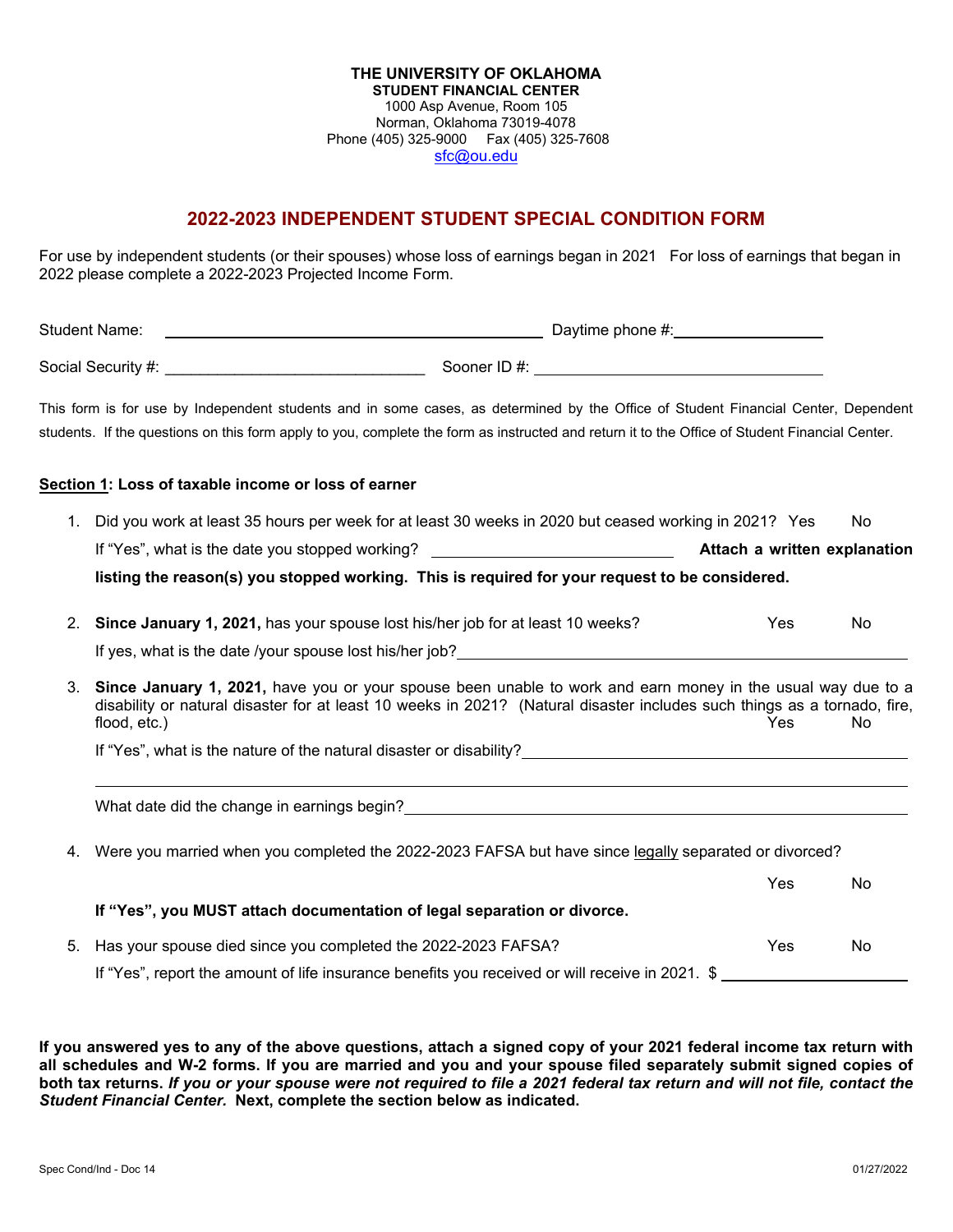#### **THE UNIVERSITY OF OKLAHOMA STUDENT FINANCIAL CENTER** 1000 Asp Avenue, Room 105 Norman, Oklahoma 73019-4078 Phone (405) 325-9000 Fax (405) 325-7608 [sfc@ou.edu](http://www.ou.edu/financialaid.html)

# **2022-2023 INDEPENDENT STUDENT SPECIAL CONDITION FORM**

For use by independent students (or their spouses) whose loss of earnings began in 2021 For loss of earnings that began in 2022 please complete a 2022-2023 Projected Income Form.

| <b>Student Name:</b>                                                |                              |                                                                                                                                                                                                                                                                                                                                                                                                                                                                                                                                                                                                                                                                                                                                                                                                                                                                                                                                                                                                                                                                                                                                                                                                         |
|---------------------------------------------------------------------|------------------------------|---------------------------------------------------------------------------------------------------------------------------------------------------------------------------------------------------------------------------------------------------------------------------------------------------------------------------------------------------------------------------------------------------------------------------------------------------------------------------------------------------------------------------------------------------------------------------------------------------------------------------------------------------------------------------------------------------------------------------------------------------------------------------------------------------------------------------------------------------------------------------------------------------------------------------------------------------------------------------------------------------------------------------------------------------------------------------------------------------------------------------------------------------------------------------------------------------------|
|                                                                     |                              |                                                                                                                                                                                                                                                                                                                                                                                                                                                                                                                                                                                                                                                                                                                                                                                                                                                                                                                                                                                                                                                                                                                                                                                                         |
|                                                                     |                              |                                                                                                                                                                                                                                                                                                                                                                                                                                                                                                                                                                                                                                                                                                                                                                                                                                                                                                                                                                                                                                                                                                                                                                                                         |
| Section 1: Loss of taxable income or loss of earner                 |                              |                                                                                                                                                                                                                                                                                                                                                                                                                                                                                                                                                                                                                                                                                                                                                                                                                                                                                                                                                                                                                                                                                                                                                                                                         |
| $1_{\cdot}$                                                         |                              | No                                                                                                                                                                                                                                                                                                                                                                                                                                                                                                                                                                                                                                                                                                                                                                                                                                                                                                                                                                                                                                                                                                                                                                                                      |
|                                                                     | Attach a written explanation |                                                                                                                                                                                                                                                                                                                                                                                                                                                                                                                                                                                                                                                                                                                                                                                                                                                                                                                                                                                                                                                                                                                                                                                                         |
|                                                                     |                              |                                                                                                                                                                                                                                                                                                                                                                                                                                                                                                                                                                                                                                                                                                                                                                                                                                                                                                                                                                                                                                                                                                                                                                                                         |
| 2.                                                                  | Yes                          | <b>No</b>                                                                                                                                                                                                                                                                                                                                                                                                                                                                                                                                                                                                                                                                                                                                                                                                                                                                                                                                                                                                                                                                                                                                                                                               |
|                                                                     |                              |                                                                                                                                                                                                                                                                                                                                                                                                                                                                                                                                                                                                                                                                                                                                                                                                                                                                                                                                                                                                                                                                                                                                                                                                         |
| 3.<br>flood, etc.)                                                  | <b>Yes</b>                   | No.                                                                                                                                                                                                                                                                                                                                                                                                                                                                                                                                                                                                                                                                                                                                                                                                                                                                                                                                                                                                                                                                                                                                                                                                     |
|                                                                     |                              |                                                                                                                                                                                                                                                                                                                                                                                                                                                                                                                                                                                                                                                                                                                                                                                                                                                                                                                                                                                                                                                                                                                                                                                                         |
|                                                                     |                              |                                                                                                                                                                                                                                                                                                                                                                                                                                                                                                                                                                                                                                                                                                                                                                                                                                                                                                                                                                                                                                                                                                                                                                                                         |
| 4.                                                                  |                              |                                                                                                                                                                                                                                                                                                                                                                                                                                                                                                                                                                                                                                                                                                                                                                                                                                                                                                                                                                                                                                                                                                                                                                                                         |
|                                                                     | Yes                          | No                                                                                                                                                                                                                                                                                                                                                                                                                                                                                                                                                                                                                                                                                                                                                                                                                                                                                                                                                                                                                                                                                                                                                                                                      |
|                                                                     |                              |                                                                                                                                                                                                                                                                                                                                                                                                                                                                                                                                                                                                                                                                                                                                                                                                                                                                                                                                                                                                                                                                                                                                                                                                         |
| Has your spouse died since you completed the 2022-2023 FAFSA?<br>5. | Yes                          | No                                                                                                                                                                                                                                                                                                                                                                                                                                                                                                                                                                                                                                                                                                                                                                                                                                                                                                                                                                                                                                                                                                                                                                                                      |
|                                                                     |                              |                                                                                                                                                                                                                                                                                                                                                                                                                                                                                                                                                                                                                                                                                                                                                                                                                                                                                                                                                                                                                                                                                                                                                                                                         |
|                                                                     |                              | This form is for use by Independent students and in some cases, as determined by the Office of Student Financial Center, Dependent<br>students. If the questions on this form apply to you, complete the form as instructed and return it to the Office of Student Financial Center.<br>Did you work at least 35 hours per week for at least 30 weeks in 2020 but ceased working in 2021? Yes<br>If "Yes", what is the date you stopped working? ________________________________<br>listing the reason(s) you stopped working. This is required for your request to be considered.<br>Since January 1, 2021, has your spouse lost his/her job for at least 10 weeks?<br>Since January 1, 2021, have you or your spouse been unable to work and earn money in the usual way due to a<br>disability or natural disaster for at least 10 weeks in 2021? (Natural disaster includes such things as a tornado, fire,<br>Were you married when you completed the 2022-2023 FAFSA but have since legally separated or divorced?<br>If "Yes", you MUST attach documentation of legal separation or divorce.<br>If "Yes", report the amount of life insurance benefits you received or will receive in 2021. \$ |

**If you answered yes to any of the above questions, attach a signed copy of your 2021 federal income tax return with all schedules and W-2 forms. If you are married and you and your spouse filed separately submit signed copies of both tax returns.** *If you or your spouse were not required to file a 2021 federal tax return and will not file, contact the Student Financial Center.* **Next, complete the section below as indicated.**